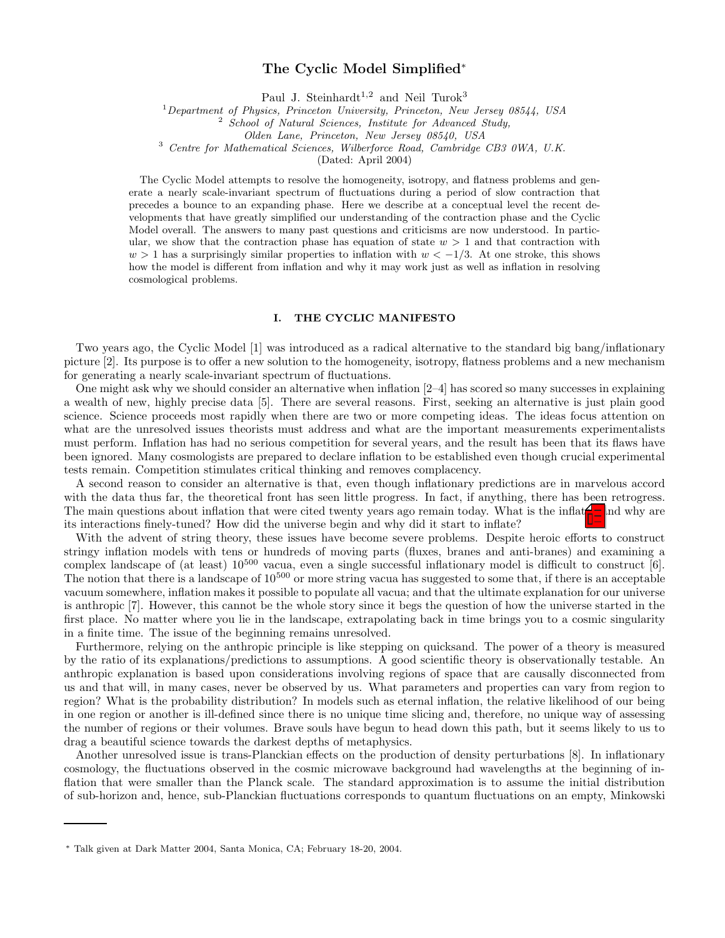# The Cyclic Model Simplified<sup>∗</sup>

Paul J. Steinhardt<sup>1,2</sup> and Neil Turok<sup>3</sup>

<sup>1</sup>Department of Physics, Princeton University, Princeton, New Jersey 08544, USA

<sup>2</sup> School of Natural Sciences, Institute for Advanced Study,

Olden Lane, Princeton, New Jersey 08540, USA

 $3$  Centre for Mathematical Sciences, Wilberforce Road, Cambridge CB3 0WA, U.K.

(Dated: April 2004)

The Cyclic Model attempts to resolve the homogeneity, isotropy, and flatness problems and generate a nearly scale-invariant spectrum of fluctuations during a period of slow contraction that precedes a bounce to an expanding phase. Here we describe at a conceptual level the recent developments that have greatly simplified our understanding of the contraction phase and the Cyclic Model overall. The answers to many past questions and criticisms are now understood. In particular, we show that the contraction phase has equation of state  $w > 1$  and that contraction with  $w > 1$  has a surprisingly similar properties to inflation with  $w < -1/3$ . At one stroke, this shows how the model is different from inflation and why it may work just as well as inflation in resolving cosmological problems.

## I. THE CYCLIC MANIFESTO

Two years ago, the Cyclic Model [1] was introduced as a radical alternative to the standard big bang/inflationary picture [2]. Its purpose is to offer a new solution to the homogeneity, isotropy, flatness problems and a new mechanism for generating a nearly scale-invariant spectrum of fluctuations.

One might ask why we should consider an alternative when inflation [2–4] has scored so many successes in explaining a wealth of new, highly precise data [5]. There are several reasons. First, seeking an alternative is just plain good science. Science proceeds most rapidly when there are two or more competing ideas. The ideas focus attention on what are the unresolved issues theorists must address and what are the important measurements experimentalists must perform. Inflation has had no serious competition for several years, and the result has been that its flaws have been ignored. Many cosmologists are prepared to declare inflation to be established even though crucial experimental tests remain. Competition stimulates critical thinking and removes complacency.

A second reason to consider an alternative is that, even though inflationary predictions are in marvelous accord with the data thus far, the theoretical front has seen little progress. In fact, if anything, there has been retrogress. The main questions about inflation that were cited twenty years ago remain today. What is the inflaton and why are its interactions finely-tuned? How did the universe begin and why did it start to inflate?

With the advent of string theory, these issues have become severe problems. Despite heroic efforts to construct stringy inflation models with tens or hundreds of moving parts (fluxes, branes and anti-branes) and examining a complex landscape of (at least)  $10^{500}$  vacua, even a single successful inflationary model is difficult to construct  $\overline{6}$ . The notion that there is a landscape of  $10^{500}$  or more string vacua has suggested to some that, if there is an acceptable vacuum somewhere, inflation makes it possible to populate all vacua; and that the ultimate explanation for our universe is anthropic [7]. However, this cannot be the whole story since it begs the question of how the universe started in the first place. No matter where you lie in the landscape, extrapolating back in time brings you to a cosmic singularity in a finite time. The issue of the beginning remains unresolved.

Furthermore, relying on the anthropic principle is like stepping on quicksand. The power of a theory is measured by the ratio of its explanations/predictions to assumptions. A good scientific theory is observationally testable. An anthropic explanation is based upon considerations involving regions of space that are causally disconnected from us and that will, in many cases, never be observed by us. What parameters and properties can vary from region to region? What is the probability distribution? In models such as eternal inflation, the relative likelihood of our being in one region or another is ill-defined since there is no unique time slicing and, therefore, no unique way of assessing the number of regions or their volumes. Brave souls have begun to head down this path, but it seems likely to us to drag a beautiful science towards the darkest depths of metaphysics.

Another unresolved issue is trans-Planckian effects on the production of density perturbations [8]. In inflationary cosmology, the fluctuations observed in the cosmic microwave background had wavelengths at the beginning of inflation that were smaller than the Planck scale. The standard approximation is to assume the initial distribution of sub-horizon and, hence, sub-Planckian fluctuations corresponds to quantum fluctuations on an empty, Minkowski

<sup>∗</sup> Talk given at Dark Matter 2004, Santa Monica, CA; February 18-20, 2004.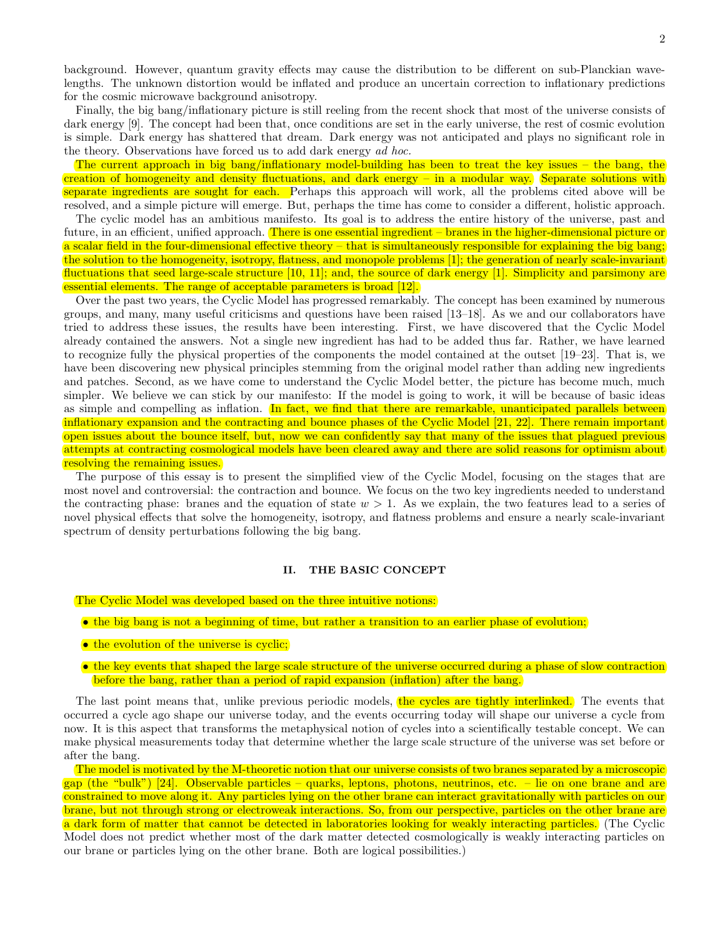background. However, quantum gravity effects may cause the distribution to be different on sub-Planckian wavelengths. The unknown distortion would be inflated and produce an uncertain correction to inflationary predictions for the cosmic microwave background anisotropy.

Finally, the big bang/inflationary picture is still reeling from the recent shock that most of the universe consists of dark energy [9]. The concept had been that, once conditions are set in the early universe, the rest of cosmic evolution is simple. Dark energy has shattered that dream. Dark energy was not anticipated and plays no significant role in the theory. Observations have forced us to add dark energy ad hoc.

The current approach in big bang/inflationary model-building has been to treat the key issues – the bang, the creation of homogeneity and density fluctuations, and dark energy – in a modular way. Separate solutions with separate ingredients are sought for each. Perhaps this approach will work, all the problems cited above will be resolved, and a simple picture will emerge. But, perhaps the time has come to consider a different, holistic approach.

The cyclic model has an ambitious manifesto. Its goal is to address the entire history of the universe, past and future, in an efficient, unified approach. There is one essential ingredient – branes in the higher-dimensional picture or a scalar field in the four-dimensional effective theory – that is simultaneously responsible for explaining the big bang; the solution to the homogeneity, isotropy, flatness, and monopole problems [1]; the generation of nearly scale-invariant fluctuations that seed large-scale structure [10, 11]; and, the source of dark energy [1]. Simplicity and parsimony are essential elements. The range of acceptable parameters is broad [12].

Over the past two years, the Cyclic Model has progressed remarkably. The concept has been examined by numerous groups, and many, many useful criticisms and questions have been raised [13–18]. As we and our collaborators have tried to address these issues, the results have been interesting. First, we have discovered that the Cyclic Model already contained the answers. Not a single new ingredient has had to be added thus far. Rather, we have learned to recognize fully the physical properties of the components the model contained at the outset [19–23]. That is, we have been discovering new physical principles stemming from the original model rather than adding new ingredients and patches. Second, as we have come to understand the Cyclic Model better, the picture has become much, much simpler. We believe we can stick by our manifesto: If the model is going to work, it will be because of basic ideas as simple and compelling as inflation. In fact, we find that there are remarkable, unanticipated parallels between inflationary expansion and the contracting and bounce phases of the Cyclic Model [21, 22]. There remain important open issues about the bounce itself, but, now we can confidently say that many of the issues that plagued previous attempts at contracting cosmological models have been cleared away and there are solid reasons for optimism about resolving the remaining issues.

The purpose of this essay is to present the simplified view of the Cyclic Model, focusing on the stages that are most novel and controversial: the contraction and bounce. We focus on the two key ingredients needed to understand the contracting phase: branes and the equation of state  $w > 1$ . As we explain, the two features lead to a series of novel physical effects that solve the homogeneity, isotropy, and flatness problems and ensure a nearly scale-invariant spectrum of density perturbations following the big bang.

### II. THE BASIC CONCEPT

# The Cyclic Model was developed based on the three intuitive notions:

- the big bang is not a beginning of time, but rather a transition to an earlier phase of evolution;
- the evolution of the universe is cyclic;
- the key events that shaped the large scale structure of the universe occurred during a phase of slow contraction before the bang, rather than a period of rapid expansion (inflation) after the bang.

The last point means that, unlike previous periodic models, the cycles are tightly interlinked. The events that occurred a cycle ago shape our universe today, and the events occurring today will shape our universe a cycle from now. It is this aspect that transforms the metaphysical notion of cycles into a scientifically testable concept. We can make physical measurements today that determine whether the large scale structure of the universe was set before or after the bang.

The model is motivated by the M-theoretic notion that our universe consists of two branes separated by a microscopic gap (the "bulk") [24]. Observable particles – quarks, leptons, photons, neutrinos, etc. – lie on one brane and are constrained to move along it. Any particles lying on the other brane can interact gravitationally with particles on our brane, but not through strong or electroweak interactions. So, from our perspective, particles on the other brane are a dark form of matter that cannot be detected in laboratories looking for weakly interacting particles. (The Cyclic Model does not predict whether most of the dark matter detected cosmologically is weakly interacting particles on our brane or particles lying on the other brane. Both are logical possibilities.)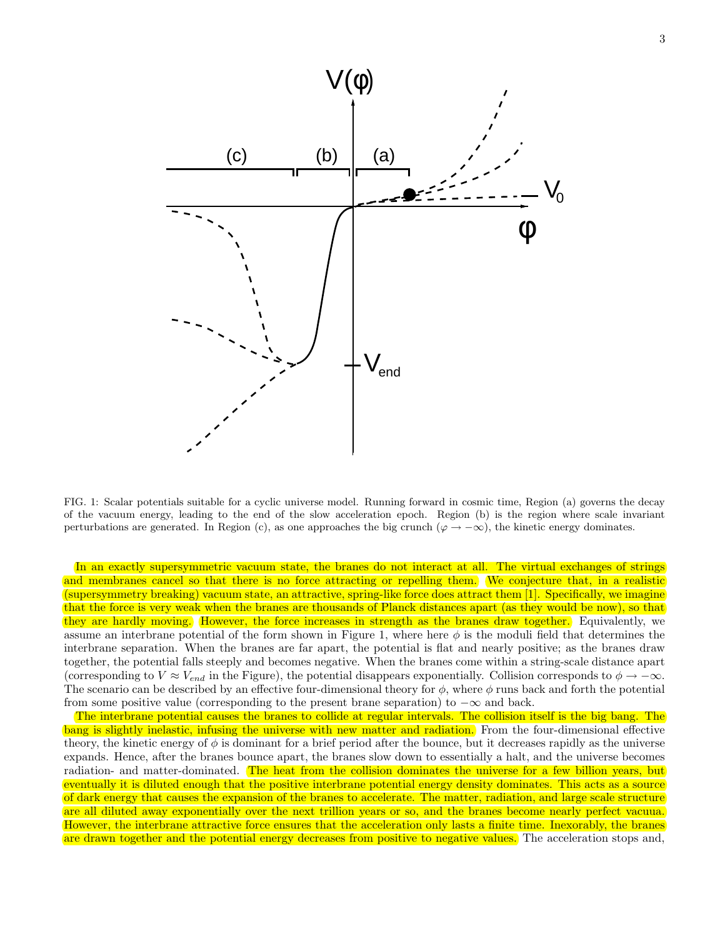

FIG. 1: Scalar potentials suitable for a cyclic universe model. Running forward in cosmic time, Region (a) governs the decay of the vacuum energy, leading to the end of the slow acceleration epoch. Region (b) is the region where scale invariant perturbations are generated. In Region (c), as one approaches the big crunch ( $\varphi \to -\infty$ ), the kinetic energy dominates.

In an exactly supersymmetric vacuum state, the branes do not interact at all. The virtual exchanges of strings and membranes cancel so that there is no force attracting or repelling them. We conjecture that, in a realistic (supersymmetry breaking) vacuum state, an attractive, spring-like force does attract them [1]. Specifically, we imagine that the force is very weak when the branes are thousands of Planck distances apart (as they would be now), so that they are hardly moving. However, the force increases in strength as the branes draw together. Equivalently, we assume an interbrane potential of the form shown in Figure 1, where here  $\phi$  is the moduli field that determines the interbrane separation. When the branes are far apart, the potential is flat and nearly positive; as the branes draw together, the potential falls steeply and becomes negative. When the branes come within a string-scale distance apart (corresponding to  $V \approx V_{end}$  in the Figure), the potential disappears exponentially. Collision corresponds to  $\phi \to -\infty$ . The scenario can be described by an effective four-dimensional theory for  $\phi$ , where  $\phi$  runs back and forth the potential from some positive value (corresponding to the present brane separation) to  $-\infty$  and back.

The interbrane potential causes the branes to collide at regular intervals. The collision itself is the big bang. The bang is slightly inelastic, infusing the universe with new matter and radiation. From the four-dimensional effective theory, the kinetic energy of  $\phi$  is dominant for a brief period after the bounce, but it decreases rapidly as the universe expands. Hence, after the branes bounce apart, the branes slow down to essentially a halt, and the universe becomes radiation- and matter-dominated. The heat from the collision dominates the universe for a few billion years, but eventually it is diluted enough that the positive interbrane potential energy density dominates. This acts as a source of dark energy that causes the expansion of the branes to accelerate. The matter, radiation, and large scale structure are all diluted away exponentially over the next trillion years or so, and the branes become nearly perfect vacuua. However, the interbrane attractive force ensures that the acceleration only lasts a finite time. Inexorably, the branes are drawn together and the potential energy decreases from positive to negative values. The acceleration stops and,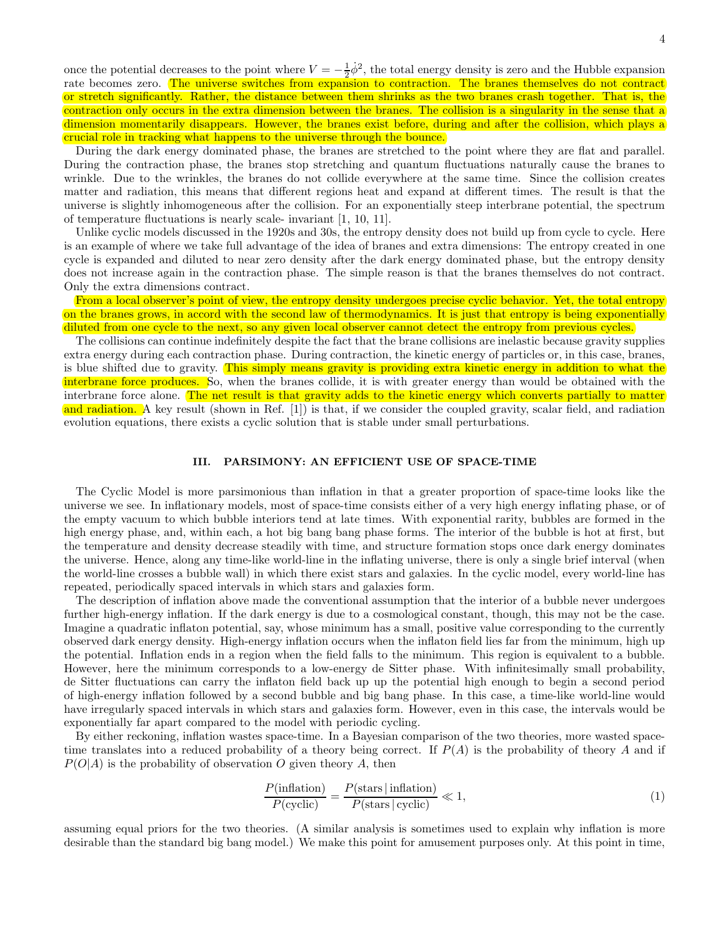4

once the potential decreases to the point where  $V = -\frac{1}{2}\dot{\phi}^2$ , the total energy density is zero and the Hubble expansion rate becomes zero. The universe switches from expansion to contraction. The branes themselves do not contract or stretch significantly. Rather, the distance between them shrinks as the two branes crash together. That is, the contraction only occurs in the extra dimension between the branes. The collision is a singularity in the sense that a dimension momentarily disappears. However, the branes exist before, during and after the collision, which plays a crucial role in tracking what happens to the universe through the bounce.

During the dark energy dominated phase, the branes are stretched to the point where they are flat and parallel. During the contraction phase, the branes stop stretching and quantum fluctuations naturally cause the branes to wrinkle. Due to the wrinkles, the branes do not collide everywhere at the same time. Since the collision creates matter and radiation, this means that different regions heat and expand at different times. The result is that the universe is slightly inhomogeneous after the collision. For an exponentially steep interbrane potential, the spectrum of temperature fluctuations is nearly scale- invariant [1, 10, 11].

Unlike cyclic models discussed in the 1920s and 30s, the entropy density does not build up from cycle to cycle. Here is an example of where we take full advantage of the idea of branes and extra dimensions: The entropy created in one cycle is expanded and diluted to near zero density after the dark energy dominated phase, but the entropy density does not increase again in the contraction phase. The simple reason is that the branes themselves do not contract. Only the extra dimensions contract.

From a local observer's point of view, the entropy density undergoes precise cyclic behavior. Yet, the total entropy on the branes grows, in accord with the second law of thermodynamics. It is just that entropy is being exponentially diluted from one cycle to the next, so any given local observer cannot detect the entropy from previous cycles.

The collisions can continue indefinitely despite the fact that the brane collisions are inelastic because gravity supplies extra energy during each contraction phase. During contraction, the kinetic energy of particles or, in this case, branes, is blue shifted due to gravity. This simply means gravity is providing extra kinetic energy in addition to what the interbrane force produces. So, when the branes collide, it is with greater energy than would be obtained with the interbrane force alone. The net result is that gravity adds to the kinetic energy which converts partially to matter and radiation. A key result (shown in Ref. [1]) is that, if we consider the coupled gravity, scalar field, and radiation evolution equations, there exists a cyclic solution that is stable under small perturbations.

## III. PARSIMONY: AN EFFICIENT USE OF SPACE-TIME

The Cyclic Model is more parsimonious than inflation in that a greater proportion of space-time looks like the universe we see. In inflationary models, most of space-time consists either of a very high energy inflating phase, or of the empty vacuum to which bubble interiors tend at late times. With exponential rarity, bubbles are formed in the high energy phase, and, within each, a hot big bang bang phase forms. The interior of the bubble is hot at first, but the temperature and density decrease steadily with time, and structure formation stops once dark energy dominates the universe. Hence, along any time-like world-line in the inflating universe, there is only a single brief interval (when the world-line crosses a bubble wall) in which there exist stars and galaxies. In the cyclic model, every world-line has repeated, periodically spaced intervals in which stars and galaxies form.

The description of inflation above made the conventional assumption that the interior of a bubble never undergoes further high-energy inflation. If the dark energy is due to a cosmological constant, though, this may not be the case. Imagine a quadratic inflaton potential, say, whose minimum has a small, positive value corresponding to the currently observed dark energy density. High-energy inflation occurs when the inflaton field lies far from the minimum, high up the potential. Inflation ends in a region when the field falls to the minimum. This region is equivalent to a bubble. However, here the minimum corresponds to a low-energy de Sitter phase. With infinitesimally small probability, de Sitter fluctuations can carry the inflaton field back up up the potential high enough to begin a second period of high-energy inflation followed by a second bubble and big bang phase. In this case, a time-like world-line would have irregularly spaced intervals in which stars and galaxies form. However, even in this case, the intervals would be exponentially far apart compared to the model with periodic cycling.

By either reckoning, inflation wastes space-time. In a Bayesian comparison of the two theories, more wasted spacetime translates into a reduced probability of a theory being correct. If  $P(A)$  is the probability of theory A and if  $P(O|A)$  is the probability of observation O given theory A, then

$$
\frac{P(\text{inflation})}{P(\text{cyclic})} = \frac{P(\text{stars} | \text{inflation})}{P(\text{stars} | \text{cyclic})} \ll 1,\tag{1}
$$

assuming equal priors for the two theories. (A similar analysis is sometimes used to explain why inflation is more desirable than the standard big bang model.) We make this point for amusement purposes only. At this point in time,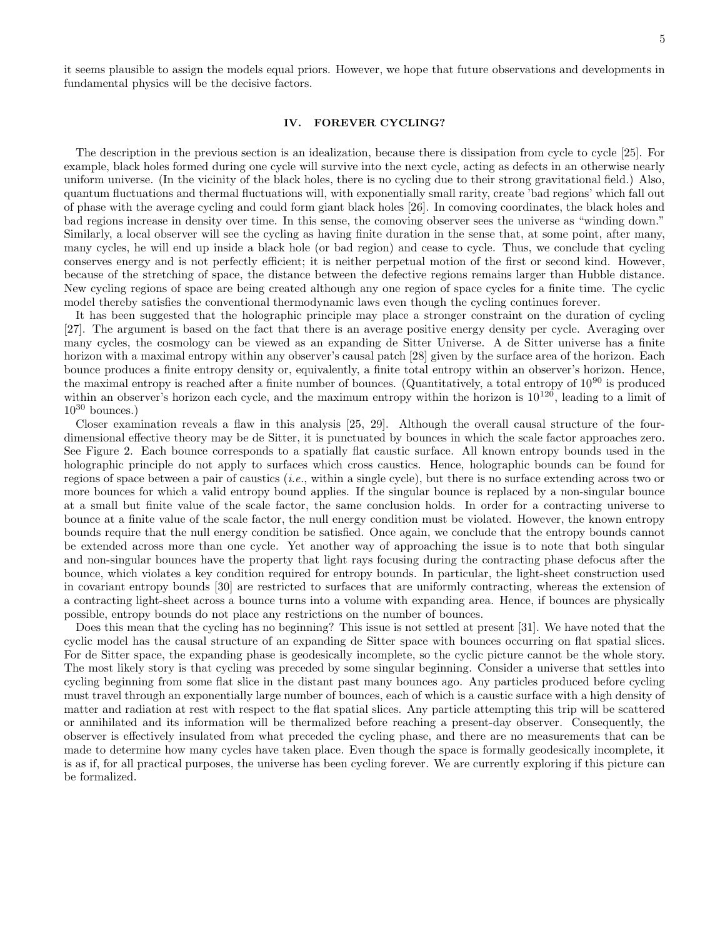it seems plausible to assign the models equal priors. However, we hope that future observations and developments in fundamental physics will be the decisive factors.

# IV. FOREVER CYCLING?

The description in the previous section is an idealization, because there is dissipation from cycle to cycle [25]. For example, black holes formed during one cycle will survive into the next cycle, acting as defects in an otherwise nearly uniform universe. (In the vicinity of the black holes, there is no cycling due to their strong gravitational field.) Also, quantum fluctuations and thermal fluctuations will, with exponentially small rarity, create 'bad regions' which fall out of phase with the average cycling and could form giant black holes [26]. In comoving coordinates, the black holes and bad regions increase in density over time. In this sense, the comoving observer sees the universe as "winding down." Similarly, a local observer will see the cycling as having finite duration in the sense that, at some point, after many, many cycles, he will end up inside a black hole (or bad region) and cease to cycle. Thus, we conclude that cycling conserves energy and is not perfectly efficient; it is neither perpetual motion of the first or second kind. However, because of the stretching of space, the distance between the defective regions remains larger than Hubble distance. New cycling regions of space are being created although any one region of space cycles for a finite time. The cyclic model thereby satisfies the conventional thermodynamic laws even though the cycling continues forever.

It has been suggested that the holographic principle may place a stronger constraint on the duration of cycling [27]. The argument is based on the fact that there is an average positive energy density per cycle. Averaging over many cycles, the cosmology can be viewed as an expanding de Sitter Universe. A de Sitter universe has a finite horizon with a maximal entropy within any observer's causal patch [28] given by the surface area of the horizon. Each bounce produces a finite entropy density or, equivalently, a finite total entropy within an observer's horizon. Hence, the maximal entropy is reached after a finite number of bounces. (Quantitatively, a total entropy of  $10^{90}$  is produced within an observer's horizon each cycle, and the maximum entropy within the horizon is  $10^{120}$ , leading to a limit of  $10^{30}$  bounces.)

Closer examination reveals a flaw in this analysis [25, 29]. Although the overall causal structure of the fourdimensional effective theory may be de Sitter, it is punctuated by bounces in which the scale factor approaches zero. See Figure 2. Each bounce corresponds to a spatially flat caustic surface. All known entropy bounds used in the holographic principle do not apply to surfaces which cross caustics. Hence, holographic bounds can be found for regions of space between a pair of caustics *(i.e., within a single cycle)*, but there is no surface extending across two or more bounces for which a valid entropy bound applies. If the singular bounce is replaced by a non-singular bounce at a small but finite value of the scale factor, the same conclusion holds. In order for a contracting universe to bounce at a finite value of the scale factor, the null energy condition must be violated. However, the known entropy bounds require that the null energy condition be satisfied. Once again, we conclude that the entropy bounds cannot be extended across more than one cycle. Yet another way of approaching the issue is to note that both singular and non-singular bounces have the property that light rays focusing during the contracting phase defocus after the bounce, which violates a key condition required for entropy bounds. In particular, the light-sheet construction used in covariant entropy bounds [30] are restricted to surfaces that are uniformly contracting, whereas the extension of a contracting light-sheet across a bounce turns into a volume with expanding area. Hence, if bounces are physically possible, entropy bounds do not place any restrictions on the number of bounces.

Does this mean that the cycling has no beginning? This issue is not settled at present [31]. We have noted that the cyclic model has the causal structure of an expanding de Sitter space with bounces occurring on flat spatial slices. For de Sitter space, the expanding phase is geodesically incomplete, so the cyclic picture cannot be the whole story. The most likely story is that cycling was preceded by some singular beginning. Consider a universe that settles into cycling beginning from some flat slice in the distant past many bounces ago. Any particles produced before cycling must travel through an exponentially large number of bounces, each of which is a caustic surface with a high density of matter and radiation at rest with respect to the flat spatial slices. Any particle attempting this trip will be scattered or annihilated and its information will be thermalized before reaching a present-day observer. Consequently, the observer is effectively insulated from what preceded the cycling phase, and there are no measurements that can be made to determine how many cycles have taken place. Even though the space is formally geodesically incomplete, it is as if, for all practical purposes, the universe has been cycling forever. We are currently exploring if this picture can be formalized.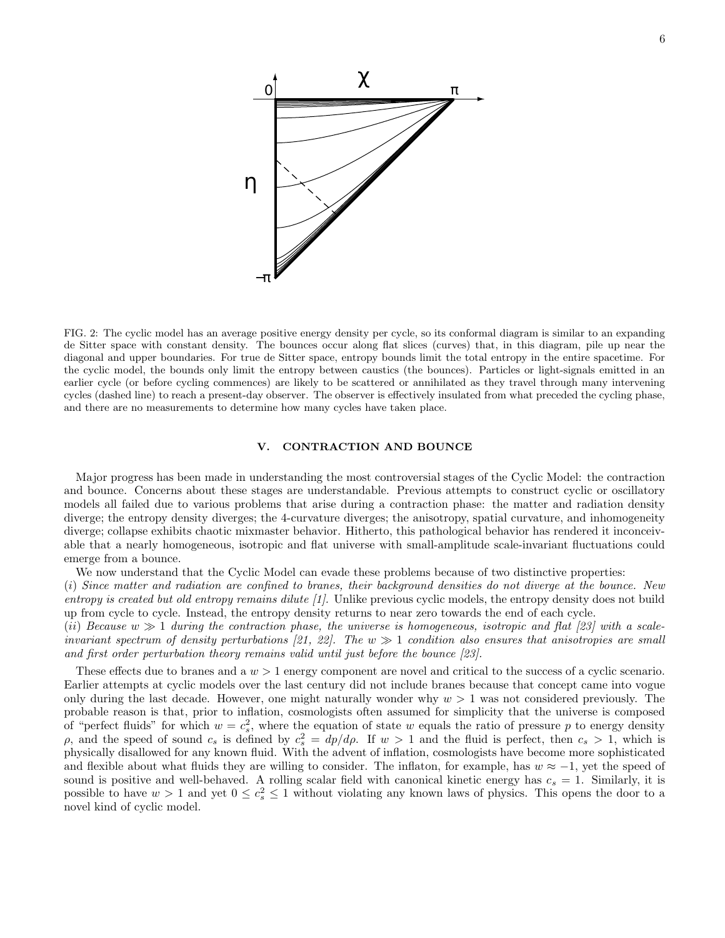

FIG. 2: The cyclic model has an average positive energy density per cycle, so its conformal diagram is similar to an expanding de Sitter space with constant density. The bounces occur along flat slices (curves) that, in this diagram, pile up near the diagonal and upper boundaries. For true de Sitter space, entropy bounds limit the total entropy in the entire spacetime. For the cyclic model, the bounds only limit the entropy between caustics (the bounces). Particles or light-signals emitted in an earlier cycle (or before cycling commences) are likely to be scattered or annihilated as they travel through many intervening cycles (dashed line) to reach a present-day observer. The observer is effectively insulated from what preceded the cycling phase, and there are no measurements to determine how many cycles have taken place.

#### V. CONTRACTION AND BOUNCE

Major progress has been made in understanding the most controversial stages of the Cyclic Model: the contraction and bounce. Concerns about these stages are understandable. Previous attempts to construct cyclic or oscillatory models all failed due to various problems that arise during a contraction phase: the matter and radiation density diverge; the entropy density diverges; the 4-curvature diverges; the anisotropy, spatial curvature, and inhomogeneity diverge; collapse exhibits chaotic mixmaster behavior. Hitherto, this pathological behavior has rendered it inconceivable that a nearly homogeneous, isotropic and flat universe with small-amplitude scale-invariant fluctuations could emerge from a bounce.

We now understand that the Cyclic Model can evade these problems because of two distinctive properties:

(i) Since matter and radiation are confined to branes, their background densities do not diverge at the bounce. New entropy is created but old entropy remains dilute  $\ket{1}$ . Unlike previous cyclic models, the entropy density does not build up from cycle to cycle. Instead, the entropy density returns to near zero towards the end of each cycle.

(ii) Because  $w \gg 1$  during the contraction phase, the universe is homogeneous, isotropic and flat [23] with a scaleinvariant spectrum of density perturbations [21, 22]. The  $w \gg 1$  condition also ensures that anisotropies are small and first order perturbation theory remains valid until just before the bounce [23].

These effects due to branes and a  $w > 1$  energy component are novel and critical to the success of a cyclic scenario. Earlier attempts at cyclic models over the last century did not include branes because that concept came into vogue only during the last decade. However, one might naturally wonder why  $w > 1$  was not considered previously. The probable reason is that, prior to inflation, cosmologists often assumed for simplicity that the universe is composed of "perfect fluids" for which  $w = c_s^2$ , where the equation of state w equals the ratio of pressure p to energy density  $ρ$ , and the speed of sound  $c_s$  is defined by  $c_s^2 = dp/dρ$ . If  $w > 1$  and the fluid is perfect, then  $c_s > 1$ , which is physically disallowed for any known fluid. With the advent of inflation, cosmologists have become more sophisticated and flexible about what fluids they are willing to consider. The inflaton, for example, has  $w \approx -1$ , yet the speed of sound is positive and well-behaved. A rolling scalar field with canonical kinetic energy has  $c_s = 1$ . Similarly, it is possible to have  $w > 1$  and yet  $0 \le c_s^2 \le 1$  without violating any known laws of physics. This opens the door to a novel kind of cyclic model.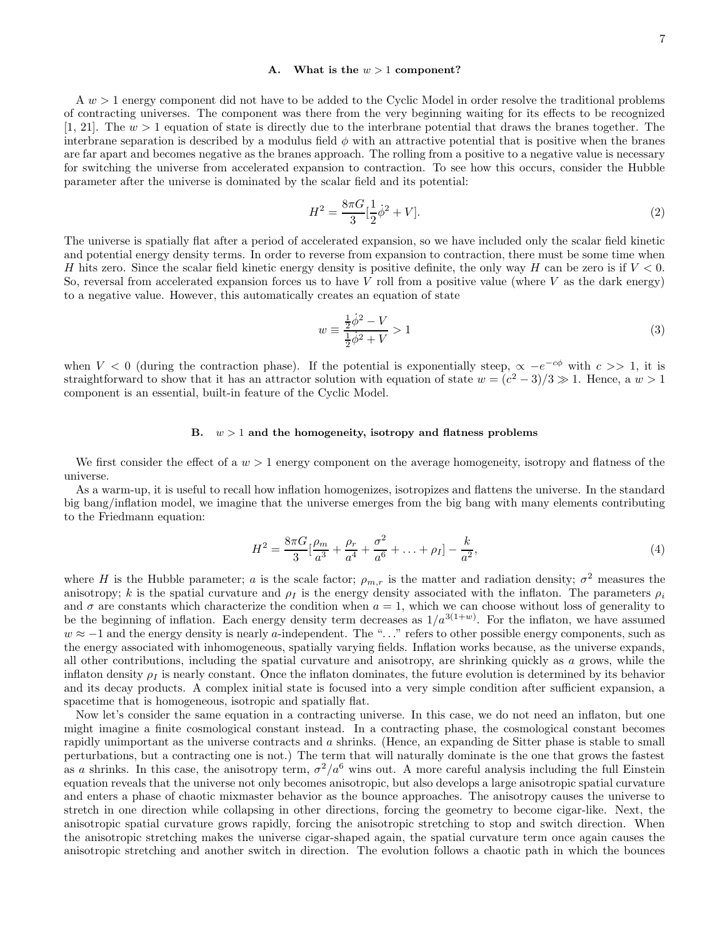#### A. What is the  $w > 1$  component?

 $A w > 1$  energy component did not have to be added to the Cyclic Model in order resolve the traditional problems of contracting universes. The component was there from the very beginning waiting for its effects to be recognized  $[1, 21]$ . The  $w > 1$  equation of state is directly due to the interbrane potential that draws the branes together. The interbrane separation is described by a modulus field  $\phi$  with an attractive potential that is positive when the branes are far apart and becomes negative as the branes approach. The rolling from a positive to a negative value is necessary for switching the universe from accelerated expansion to contraction. To see how this occurs, consider the Hubble parameter after the universe is dominated by the scalar field and its potential:

$$
H^2 = \frac{8\pi G}{3} \left[\frac{1}{2}\dot{\phi}^2 + V\right].\tag{2}
$$

The universe is spatially flat after a period of accelerated expansion, so we have included only the scalar field kinetic and potential energy density terms. In order to reverse from expansion to contraction, there must be some time when H hits zero. Since the scalar field kinetic energy density is positive definite, the only way H can be zero is if  $V < 0$ . So, reversal from accelerated expansion forces us to have  $V$  roll from a positive value (where  $V$  as the dark energy) to a negative value. However, this automatically creates an equation of state

$$
w \equiv \frac{\frac{1}{2}\dot{\phi}^2 - V}{\frac{1}{2}\dot{\phi}^2 + V} > 1\tag{3}
$$

when  $V < 0$  (during the contraction phase). If the potential is exponentially steep,  $\alpha - e^{-c\phi}$  with  $c >> 1$ , it is straightforward to show that it has an attractor solution with equation of state  $w = (c^2 - 3)/3 \gg 1$ . Hence, a  $w > 1$ component is an essential, built-in feature of the Cyclic Model.

### B.  $w > 1$  and the homogeneity, isotropy and flatness problems

We first consider the effect of a  $w > 1$  energy component on the average homogeneity, isotropy and flatness of the universe.

As a warm-up, it is useful to recall how inflation homogenizes, isotropizes and flattens the universe. In the standard big bang/inflation model, we imagine that the universe emerges from the big bang with many elements contributing to the Friedmann equation:

$$
H^{2} = \frac{8\pi G}{3} \left[\frac{\rho_{m}}{a^{3}} + \frac{\rho_{r}}{a^{4}} + \frac{\sigma^{2}}{a^{6}} + \ldots + \rho_{I}\right] - \frac{k}{a^{2}},\tag{4}
$$

where H is the Hubble parameter; a is the scale factor;  $\rho_{m,r}$  is the matter and radiation density;  $\sigma^2$  measures the anisotropy; k is the spatial curvature and  $\rho_I$  is the energy density associated with the inflaton. The parameters  $\rho_i$ and  $\sigma$  are constants which characterize the condition when  $a = 1$ , which we can choose without loss of generality to be the beginning of inflation. Each energy density term decreases as  $1/a^{3(1+w)}$ . For the inflaton, we have assumed  $w \approx -1$  and the energy density is nearly a-independent. The "..." refers to other possible energy components, such as the energy associated with inhomogeneous, spatially varying fields. Inflation works because, as the universe expands, all other contributions, including the spatial curvature and anisotropy, are shrinking quickly as a grows, while the inflaton density  $\rho_I$  is nearly constant. Once the inflaton dominates, the future evolution is determined by its behavior and its decay products. A complex initial state is focused into a very simple condition after sufficient expansion, a spacetime that is homogeneous, isotropic and spatially flat.

Now let's consider the same equation in a contracting universe. In this case, we do not need an inflaton, but one might imagine a finite cosmological constant instead. In a contracting phase, the cosmological constant becomes rapidly unimportant as the universe contracts and a shrinks. (Hence, an expanding de Sitter phase is stable to small perturbations, but a contracting one is not.) The term that will naturally dominate is the one that grows the fastest as a shrinks. In this case, the anisotropy term,  $\sigma^2/a^6$  wins out. A more careful analysis including the full Einstein equation reveals that the universe not only becomes anisotropic, but also develops a large anisotropic spatial curvature and enters a phase of chaotic mixmaster behavior as the bounce approaches. The anisotropy causes the universe to stretch in one direction while collapsing in other directions, forcing the geometry to become cigar-like. Next, the anisotropic spatial curvature grows rapidly, forcing the anisotropic stretching to stop and switch direction. When the anisotropic stretching makes the universe cigar-shaped again, the spatial curvature term once again causes the anisotropic stretching and another switch in direction. The evolution follows a chaotic path in which the bounces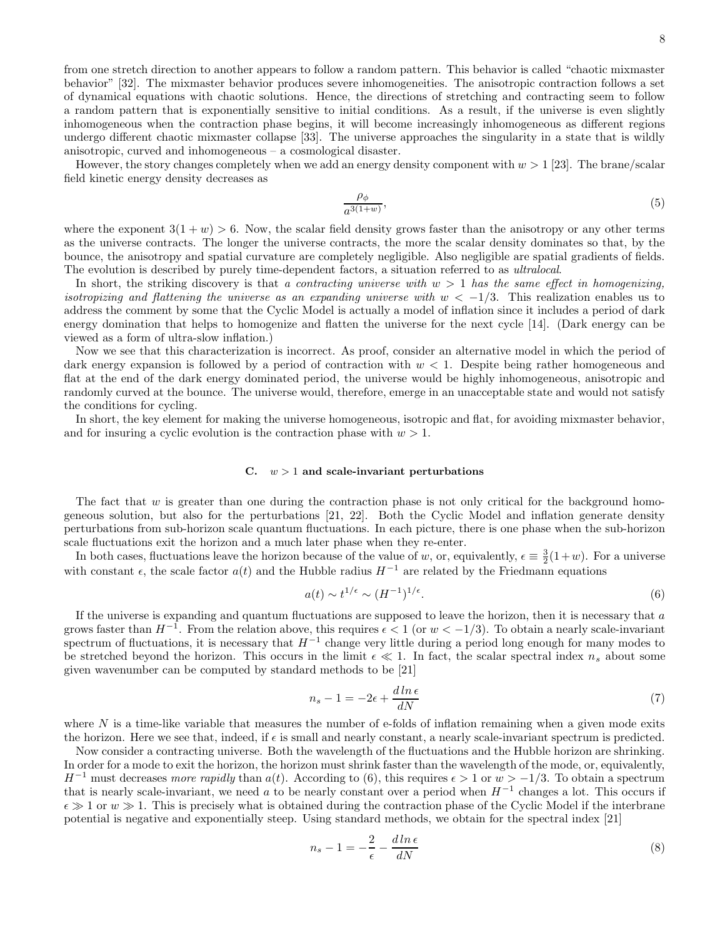from one stretch direction to another appears to follow a random pattern. This behavior is called "chaotic mixmaster behavior" [32]. The mixmaster behavior produces severe inhomogeneities. The anisotropic contraction follows a set of dynamical equations with chaotic solutions. Hence, the directions of stretching and contracting seem to follow a random pattern that is exponentially sensitive to initial conditions. As a result, if the universe is even slightly inhomogeneous when the contraction phase begins, it will become increasingly inhomogeneous as different regions undergo different chaotic mixmaster collapse [33]. The universe approaches the singularity in a state that is wildly anisotropic, curved and inhomogeneous – a cosmological disaster.

However, the story changes completely when we add an energy density component with  $w > 1/23$ . The brane/scalar field kinetic energy density decreases as

$$
\frac{\rho_{\phi}}{a^{3(1+w)}},\tag{5}
$$

where the exponent  $3(1+w) > 6$ . Now, the scalar field density grows faster than the anisotropy or any other terms as the universe contracts. The longer the universe contracts, the more the scalar density dominates so that, by the bounce, the anisotropy and spatial curvature are completely negligible. Also negligible are spatial gradients of fields. The evolution is described by purely time-dependent factors, a situation referred to as ultralocal.

In short, the striking discovery is that a contracting universe with  $w > 1$  has the same effect in homogenizing, isotropizing and flattening the universe as an expanding universe with  $w < -1/3$ . This realization enables us to address the comment by some that the Cyclic Model is actually a model of inflation since it includes a period of dark energy domination that helps to homogenize and flatten the universe for the next cycle [14]. (Dark energy can be viewed as a form of ultra-slow inflation.)

Now we see that this characterization is incorrect. As proof, consider an alternative model in which the period of dark energy expansion is followed by a period of contraction with  $w < 1$ . Despite being rather homogeneous and flat at the end of the dark energy dominated period, the universe would be highly inhomogeneous, anisotropic and randomly curved at the bounce. The universe would, therefore, emerge in an unacceptable state and would not satisfy the conditions for cycling.

In short, the key element for making the universe homogeneous, isotropic and flat, for avoiding mixmaster behavior, and for insuring a cyclic evolution is the contraction phase with  $w > 1$ .

#### C.  $w > 1$  and scale-invariant perturbations

The fact that  $w$  is greater than one during the contraction phase is not only critical for the background homogeneous solution, but also for the perturbations [21, 22]. Both the Cyclic Model and inflation generate density perturbations from sub-horizon scale quantum fluctuations. In each picture, there is one phase when the sub-horizon scale fluctuations exit the horizon and a much later phase when they re-enter.

In both cases, fluctuations leave the horizon because of the value of w, or, equivalently,  $\epsilon \equiv \frac{3}{2}(1+w)$ . For a universe with constant  $\epsilon$ , the scale factor  $a(t)$  and the Hubble radius  $H^{-1}$  are related by the Friedmann equations

$$
a(t) \sim t^{1/\epsilon} \sim (H^{-1})^{1/\epsilon}.\tag{6}
$$

If the universe is expanding and quantum fluctuations are supposed to leave the horizon, then it is necessary that  $a$ grows faster than  $H^{-1}$ . From the relation above, this requires  $\epsilon < 1$  (or  $w < -1/3$ ). To obtain a nearly scale-invariant spectrum of fluctuations, it is necessary that  $H^{-1}$  change very little during a period long enough for many modes to be stretched beyond the horizon. This occurs in the limit  $\epsilon \ll 1$ . In fact, the scalar spectral index  $n_s$  about some given wavenumber can be computed by standard methods to be [21]

$$
n_s - 1 = -2\epsilon + \frac{d\ln\epsilon}{dN} \tag{7}
$$

where  $N$  is a time-like variable that measures the number of e-folds of inflation remaining when a given mode exits the horizon. Here we see that, indeed, if  $\epsilon$  is small and nearly constant, a nearly scale-invariant spectrum is predicted.

Now consider a contracting universe. Both the wavelength of the fluctuations and the Hubble horizon are shrinking. In order for a mode to exit the horizon, the horizon must shrink faster than the wavelength of the mode, or, equivalently,  $H^{-1}$  must decreases more rapidly than  $a(t)$ . According to (6), this requires  $\epsilon > 1$  or  $w > -1/3$ . To obtain a spectrum that is nearly scale-invariant, we need a to be nearly constant over a period when  $H^{-1}$  changes a lot. This occurs if  $\epsilon \gg 1$  or  $w \gg 1$ . This is precisely what is obtained during the contraction phase of the Cyclic Model if the interbrane potential is negative and exponentially steep. Using standard methods, we obtain for the spectral index [21]

$$
n_s - 1 = -\frac{2}{\epsilon} - \frac{d \ln \epsilon}{dN} \tag{8}
$$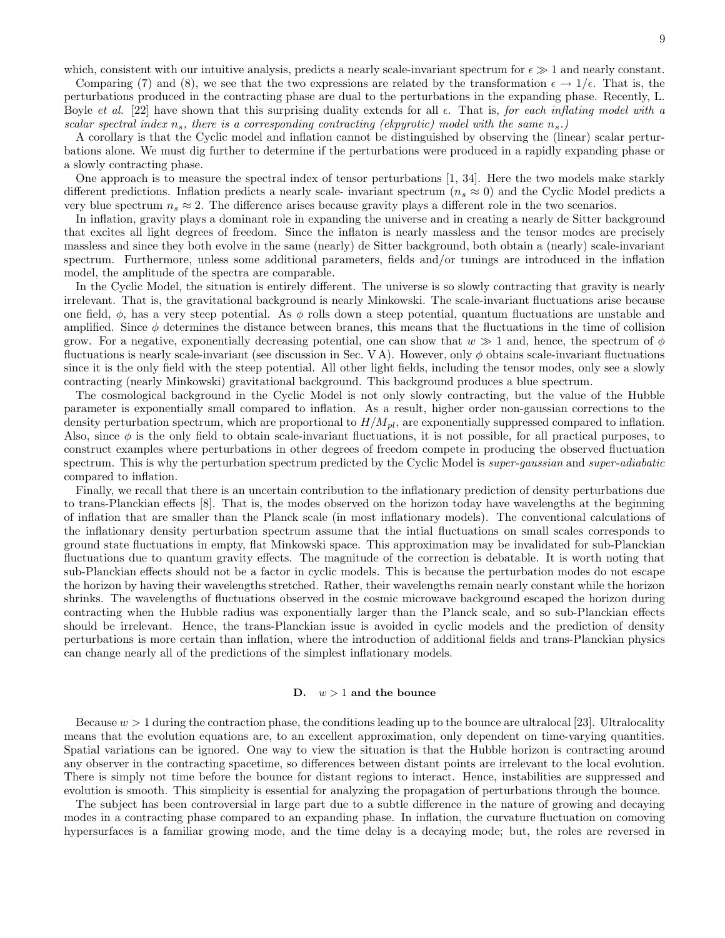which, consistent with our intuitive analysis, predicts a nearly scale-invariant spectrum for  $\epsilon \gg 1$  and nearly constant.

Comparing (7) and (8), we see that the two expressions are related by the transformation  $\epsilon \to 1/\epsilon$ . That is, the perturbations produced in the contracting phase are dual to the perturbations in the expanding phase. Recently, L. Boyle et al. [22] have shown that this surprising duality extends for all  $\epsilon$ . That is, for each inflating model with a scalar spectral index  $n_s$ , there is a corresponding contracting (ekpyrotic) model with the same  $n_s$ .)

A corollary is that the Cyclic model and inflation cannot be distinguished by observing the (linear) scalar perturbations alone. We must dig further to determine if the perturbations were produced in a rapidly expanding phase or a slowly contracting phase.

One approach is to measure the spectral index of tensor perturbations [1, 34]. Here the two models make starkly different predictions. Inflation predicts a nearly scale- invariant spectrum ( $n_s \approx 0$ ) and the Cyclic Model predicts a very blue spectrum  $n_s \approx 2$ . The difference arises because gravity plays a different role in the two scenarios.

In inflation, gravity plays a dominant role in expanding the universe and in creating a nearly de Sitter background that excites all light degrees of freedom. Since the inflaton is nearly massless and the tensor modes are precisely massless and since they both evolve in the same (nearly) de Sitter background, both obtain a (nearly) scale-invariant spectrum. Furthermore, unless some additional parameters, fields and/or tunings are introduced in the inflation model, the amplitude of the spectra are comparable.

In the Cyclic Model, the situation is entirely different. The universe is so slowly contracting that gravity is nearly irrelevant. That is, the gravitational background is nearly Minkowski. The scale-invariant fluctuations arise because one field,  $\phi$ , has a very steep potential. As  $\phi$  rolls down a steep potential, quantum fluctuations are unstable and amplified. Since  $\phi$  determines the distance between branes, this means that the fluctuations in the time of collision grow. For a negative, exponentially decreasing potential, one can show that  $w \gg 1$  and, hence, the spectrum of  $\phi$ fluctuations is nearly scale-invariant (see discussion in Sec. VA). However, only  $\phi$  obtains scale-invariant fluctuations since it is the only field with the steep potential. All other light fields, including the tensor modes, only see a slowly contracting (nearly Minkowski) gravitational background. This background produces a blue spectrum.

The cosmological background in the Cyclic Model is not only slowly contracting, but the value of the Hubble parameter is exponentially small compared to inflation. As a result, higher order non-gaussian corrections to the density perturbation spectrum, which are proportional to  $H/M_{pl}$ , are exponentially suppressed compared to inflation. Also, since  $\phi$  is the only field to obtain scale-invariant fluctuations, it is not possible, for all practical purposes, to construct examples where perturbations in other degrees of freedom compete in producing the observed fluctuation spectrum. This is why the perturbation spectrum predicted by the Cyclic Model is super-gaussian and super-adiabatic compared to inflation.

Finally, we recall that there is an uncertain contribution to the inflationary prediction of density perturbations due to trans-Planckian effects [8]. That is, the modes observed on the horizon today have wavelengths at the beginning of inflation that are smaller than the Planck scale (in most inflationary models). The conventional calculations of the inflationary density perturbation spectrum assume that the intial fluctuations on small scales corresponds to ground state fluctuations in empty, flat Minkowski space. This approximation may be invalidated for sub-Planckian fluctuations due to quantum gravity effects. The magnitude of the correction is debatable. It is worth noting that sub-Planckian effects should not be a factor in cyclic models. This is because the perturbation modes do not escape the horizon by having their wavelengths stretched. Rather, their wavelengths remain nearly constant while the horizon shrinks. The wavelengths of fluctuations observed in the cosmic microwave background escaped the horizon during contracting when the Hubble radius was exponentially larger than the Planck scale, and so sub-Planckian effects should be irrelevant. Hence, the trans-Planckian issue is avoided in cyclic models and the prediction of density perturbations is more certain than inflation, where the introduction of additional fields and trans-Planckian physics can change nearly all of the predictions of the simplest inflationary models.

#### D.  $w > 1$  and the bounce

Because  $w > 1$  during the contraction phase, the conditions leading up to the bounce are ultralocal [23]. Ultralocality means that the evolution equations are, to an excellent approximation, only dependent on time-varying quantities. Spatial variations can be ignored. One way to view the situation is that the Hubble horizon is contracting around any observer in the contracting spacetime, so differences between distant points are irrelevant to the local evolution. There is simply not time before the bounce for distant regions to interact. Hence, instabilities are suppressed and evolution is smooth. This simplicity is essential for analyzing the propagation of perturbations through the bounce.

The subject has been controversial in large part due to a subtle difference in the nature of growing and decaying modes in a contracting phase compared to an expanding phase. In inflation, the curvature fluctuation on comoving hypersurfaces is a familiar growing mode, and the time delay is a decaying mode; but, the roles are reversed in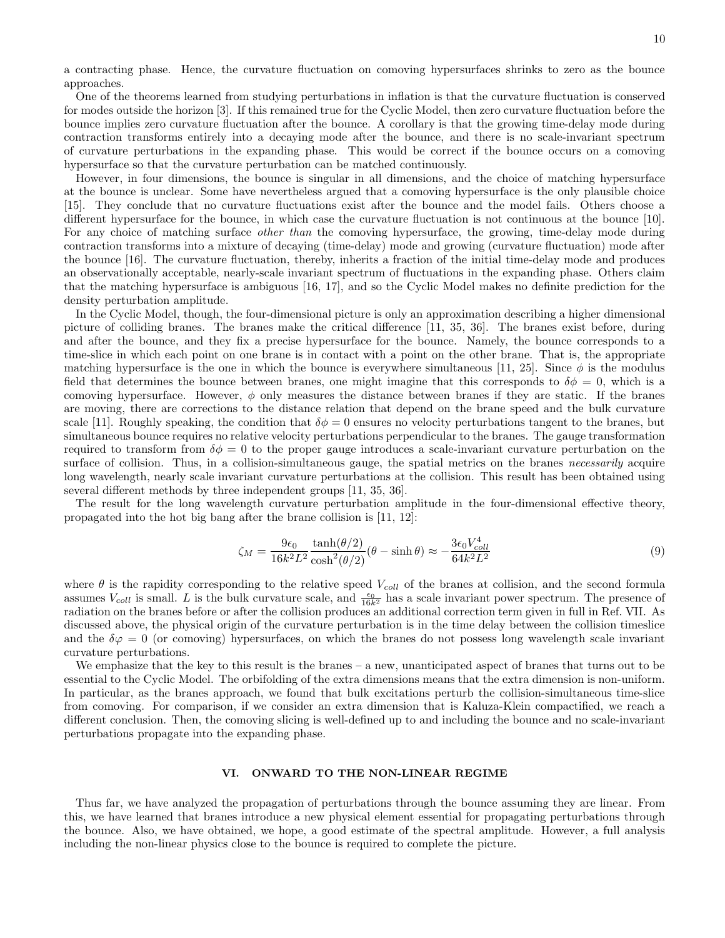a contracting phase. Hence, the curvature fluctuation on comoving hypersurfaces shrinks to zero as the bounce approaches.

One of the theorems learned from studying perturbations in inflation is that the curvature fluctuation is conserved for modes outside the horizon [3]. If this remained true for the Cyclic Model, then zero curvature fluctuation before the bounce implies zero curvature fluctuation after the bounce. A corollary is that the growing time-delay mode during contraction transforms entirely into a decaying mode after the bounce, and there is no scale-invariant spectrum of curvature perturbations in the expanding phase. This would be correct if the bounce occurs on a comoving hypersurface so that the curvature perturbation can be matched continuously.

However, in four dimensions, the bounce is singular in all dimensions, and the choice of matching hypersurface at the bounce is unclear. Some have nevertheless argued that a comoving hypersurface is the only plausible choice [15]. They conclude that no curvature fluctuations exist after the bounce and the model fails. Others choose a different hypersurface for the bounce, in which case the curvature fluctuation is not continuous at the bounce [10]. For any choice of matching surface *other than* the comoving hypersurface, the growing, time-delay mode during contraction transforms into a mixture of decaying (time-delay) mode and growing (curvature fluctuation) mode after the bounce [16]. The curvature fluctuation, thereby, inherits a fraction of the initial time-delay mode and produces an observationally acceptable, nearly-scale invariant spectrum of fluctuations in the expanding phase. Others claim that the matching hypersurface is ambiguous [16, 17], and so the Cyclic Model makes no definite prediction for the density perturbation amplitude.

In the Cyclic Model, though, the four-dimensional picture is only an approximation describing a higher dimensional picture of colliding branes. The branes make the critical difference [11, 35, 36]. The branes exist before, during and after the bounce, and they fix a precise hypersurface for the bounce. Namely, the bounce corresponds to a time-slice in which each point on one brane is in contact with a point on the other brane. That is, the appropriate matching hypersurface is the one in which the bounce is everywhere simultaneous [11, 25]. Since  $\phi$  is the modulus field that determines the bounce between branes, one might imagine that this corresponds to  $\delta\phi = 0$ , which is a comoving hypersurface. However,  $\phi$  only measures the distance between branes if they are static. If the branes are moving, there are corrections to the distance relation that depend on the brane speed and the bulk curvature scale [11]. Roughly speaking, the condition that  $\delta\phi = 0$  ensures no velocity perturbations tangent to the branes, but simultaneous bounce requires no relative velocity perturbations perpendicular to the branes. The gauge transformation required to transform from  $\delta\phi = 0$  to the proper gauge introduces a scale-invariant curvature perturbation on the surface of collision. Thus, in a collision-simultaneous gauge, the spatial metrics on the branes *necessarily* acquire long wavelength, nearly scale invariant curvature perturbations at the collision. This result has been obtained using several different methods by three independent groups [11, 35, 36].

The result for the long wavelength curvature perturbation amplitude in the four-dimensional effective theory, propagated into the hot big bang after the brane collision is [11, 12]:

$$
\zeta_M = \frac{9\epsilon_0}{16k^2L^2} \frac{\tanh(\theta/2)}{\cosh^2(\theta/2)} (\theta - \sinh\theta) \approx -\frac{3\epsilon_0 V_{coll}^4}{64k^2L^2}
$$
\n
$$
\tag{9}
$$

where  $\theta$  is the rapidity corresponding to the relative speed  $V_{coll}$  of the branes at collision, and the second formula assumes  $V_{coll}$  is small. L is the bulk curvature scale, and  $\frac{\epsilon_0}{16k^2}$  has a scale invariant power spectrum. The presence of radiation on the branes before or after the collision produces an additional correction term given in full in Ref. VII. As discussed above, the physical origin of the curvature perturbation is in the time delay between the collision timeslice and the  $\delta\varphi = 0$  (or comoving) hypersurfaces, on which the branes do not possess long wavelength scale invariant curvature perturbations.

We emphasize that the key to this result is the branes – a new, unanticipated aspect of branes that turns out to be essential to the Cyclic Model. The orbifolding of the extra dimensions means that the extra dimension is non-uniform. In particular, as the branes approach, we found that bulk excitations perturb the collision-simultaneous time-slice from comoving. For comparison, if we consider an extra dimension that is Kaluza-Klein compactified, we reach a different conclusion. Then, the comoving slicing is well-defined up to and including the bounce and no scale-invariant perturbations propagate into the expanding phase.

# VI. ONWARD TO THE NON-LINEAR REGIME

Thus far, we have analyzed the propagation of perturbations through the bounce assuming they are linear. From this, we have learned that branes introduce a new physical element essential for propagating perturbations through the bounce. Also, we have obtained, we hope, a good estimate of the spectral amplitude. However, a full analysis including the non-linear physics close to the bounce is required to complete the picture.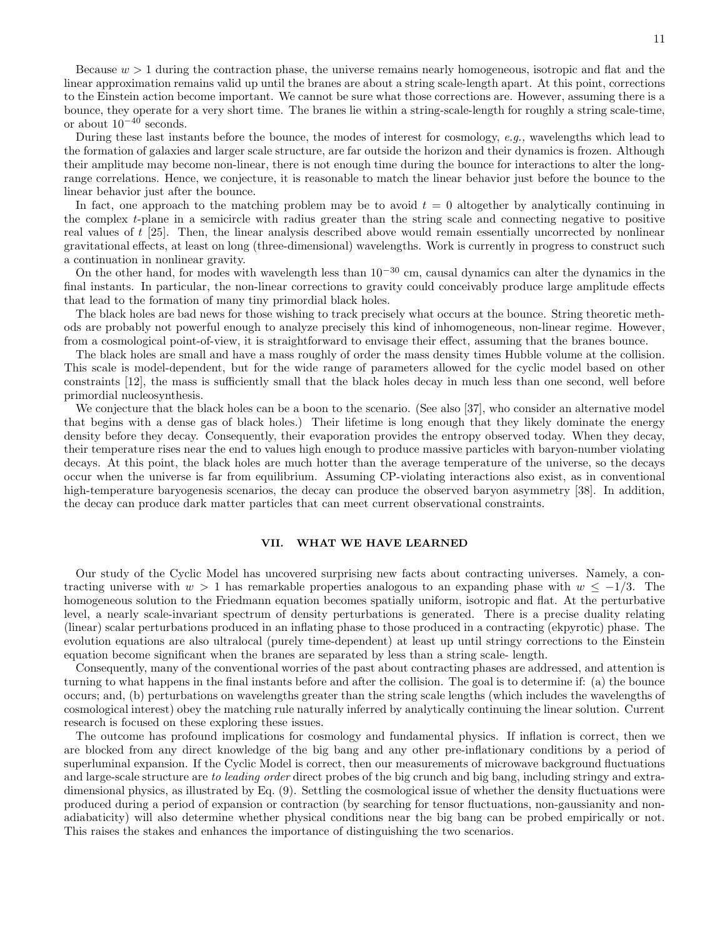Because  $w > 1$  during the contraction phase, the universe remains nearly homogeneous, isotropic and flat and the linear approximation remains valid up until the branes are about a string scale-length apart. At this point, corrections to the Einstein action become important. We cannot be sure what those corrections are. However, assuming there is a bounce, they operate for a very short time. The branes lie within a string-scale-length for roughly a string scale-time, or about  $10^{-40}$  seconds.

During these last instants before the bounce, the modes of interest for cosmology, e.g., wavelengths which lead to the formation of galaxies and larger scale structure, are far outside the horizon and their dynamics is frozen. Although their amplitude may become non-linear, there is not enough time during the bounce for interactions to alter the longrange correlations. Hence, we conjecture, it is reasonable to match the linear behavior just before the bounce to the linear behavior just after the bounce.

In fact, one approach to the matching problem may be to avoid  $t = 0$  altogether by analytically continuing in the complex t-plane in a semicircle with radius greater than the string scale and connecting negative to positive real values of  $t$  [25]. Then, the linear analysis described above would remain essentially uncorrected by nonlinear gravitational effects, at least on long (three-dimensional) wavelengths. Work is currently in progress to construct such a continuation in nonlinear gravity.

On the other hand, for modes with wavelength less than  $10^{-30}$  cm, causal dynamics can alter the dynamics in the final instants. In particular, the non-linear corrections to gravity could conceivably produce large amplitude effects that lead to the formation of many tiny primordial black holes.

The black holes are bad news for those wishing to track precisely what occurs at the bounce. String theoretic methods are probably not powerful enough to analyze precisely this kind of inhomogeneous, non-linear regime. However, from a cosmological point-of-view, it is straightforward to envisage their effect, assuming that the branes bounce.

The black holes are small and have a mass roughly of order the mass density times Hubble volume at the collision. This scale is model-dependent, but for the wide range of parameters allowed for the cyclic model based on other constraints [12], the mass is sufficiently small that the black holes decay in much less than one second, well before primordial nucleosynthesis.

We conjecture that the black holes can be a boon to the scenario. (See also [37], who consider an alternative model that begins with a dense gas of black holes.) Their lifetime is long enough that they likely dominate the energy density before they decay. Consequently, their evaporation provides the entropy observed today. When they decay, their temperature rises near the end to values high enough to produce massive particles with baryon-number violating decays. At this point, the black holes are much hotter than the average temperature of the universe, so the decays occur when the universe is far from equilibrium. Assuming CP-violating interactions also exist, as in conventional high-temperature baryogenesis scenarios, the decay can produce the observed baryon asymmetry [38]. In addition, the decay can produce dark matter particles that can meet current observational constraints.

#### VII. WHAT WE HAVE LEARNED

Our study of the Cyclic Model has uncovered surprising new facts about contracting universes. Namely, a contracting universe with  $w > 1$  has remarkable properties analogous to an expanding phase with  $w \leq -1/3$ . The homogeneous solution to the Friedmann equation becomes spatially uniform, isotropic and flat. At the perturbative level, a nearly scale-invariant spectrum of density perturbations is generated. There is a precise duality relating (linear) scalar perturbations produced in an inflating phase to those produced in a contracting (ekpyrotic) phase. The evolution equations are also ultralocal (purely time-dependent) at least up until stringy corrections to the Einstein equation become significant when the branes are separated by less than a string scale- length.

Consequently, many of the conventional worries of the past about contracting phases are addressed, and attention is turning to what happens in the final instants before and after the collision. The goal is to determine if: (a) the bounce occurs; and, (b) perturbations on wavelengths greater than the string scale lengths (which includes the wavelengths of cosmological interest) obey the matching rule naturally inferred by analytically continuing the linear solution. Current research is focused on these exploring these issues.

The outcome has profound implications for cosmology and fundamental physics. If inflation is correct, then we are blocked from any direct knowledge of the big bang and any other pre-inflationary conditions by a period of superluminal expansion. If the Cyclic Model is correct, then our measurements of microwave background fluctuations and large-scale structure are to leading order direct probes of the big crunch and big bang, including stringy and extradimensional physics, as illustrated by Eq. (9). Settling the cosmological issue of whether the density fluctuations were produced during a period of expansion or contraction (by searching for tensor fluctuations, non-gaussianity and nonadiabaticity) will also determine whether physical conditions near the big bang can be probed empirically or not. This raises the stakes and enhances the importance of distinguishing the two scenarios.